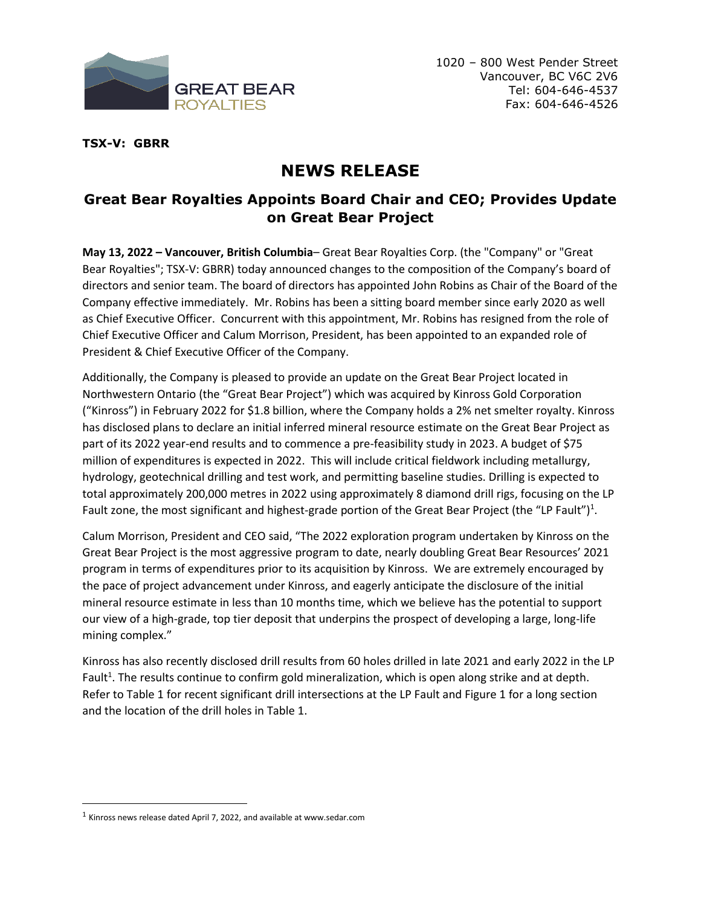

**TSX-V: GBRR**

# **NEWS RELEASE**

# **Great Bear Royalties Appoints Board Chair and CEO; Provides Update on Great Bear Project**

**May 13, 2022 – Vancouver, British Columbia**– Great Bear Royalties Corp. (the "Company" or "Great Bear Royalties"; TSX-V: GBRR) today announced changes to the composition of the Company's board of directors and senior team. The board of directors has appointed John Robins as Chair of the Board of the Company effective immediately. Mr. Robins has been a sitting board member since early 2020 as well as Chief Executive Officer. Concurrent with this appointment, Mr. Robins has resigned from the role of Chief Executive Officer and Calum Morrison, President, has been appointed to an expanded role of President & Chief Executive Officer of the Company.

Additionally, the Company is pleased to provide an update on the Great Bear Project located in Northwestern Ontario (the "Great Bear Project") which was acquired by Kinross Gold Corporation ("Kinross") in February 2022 for \$1.8 billion, where the Company holds a 2% net smelter royalty. Kinross has disclosed plans to declare an initial inferred mineral resource estimate on the Great Bear Project as part of its 2022 year-end results and to commence a pre-feasibility study in 2023. A budget of \$75 million of expenditures is expected in 2022. This will include critical fieldwork including metallurgy, hydrology, geotechnical drilling and test work, and permitting baseline studies. Drilling is expected to total approximately 200,000 metres in 2022 using approximately 8 diamond drill rigs, focusing on the LP Fault zone, the most significant and highest-grade portion of the Great Bear Project (the "LP Fault")<sup>1</sup>.

Calum Morrison, President and CEO said, "The 2022 exploration program undertaken by Kinross on the Great Bear Project is the most aggressive program to date, nearly doubling Great Bear Resources' 2021 program in terms of expenditures prior to its acquisition by Kinross. We are extremely encouraged by the pace of project advancement under Kinross, and eagerly anticipate the disclosure of the initial mineral resource estimate in less than 10 months time, which we believe has the potential to support our view of a high-grade, top tier deposit that underpins the prospect of developing a large, long-life mining complex."

Kinross has also recently disclosed drill results from 60 holes drilled in late 2021 and early 2022 in the LP Fault<sup>1</sup>. The results continue to confirm gold mineralization, which is open along strike and at depth. Refer to Table 1 for recent significant drill intersections at the LP Fault and Figure 1 for a long section and the location of the drill holes in Table 1.

 $<sup>1</sup>$  Kinross news release dated April 7, 2022, and available at www.sedar.com</sup>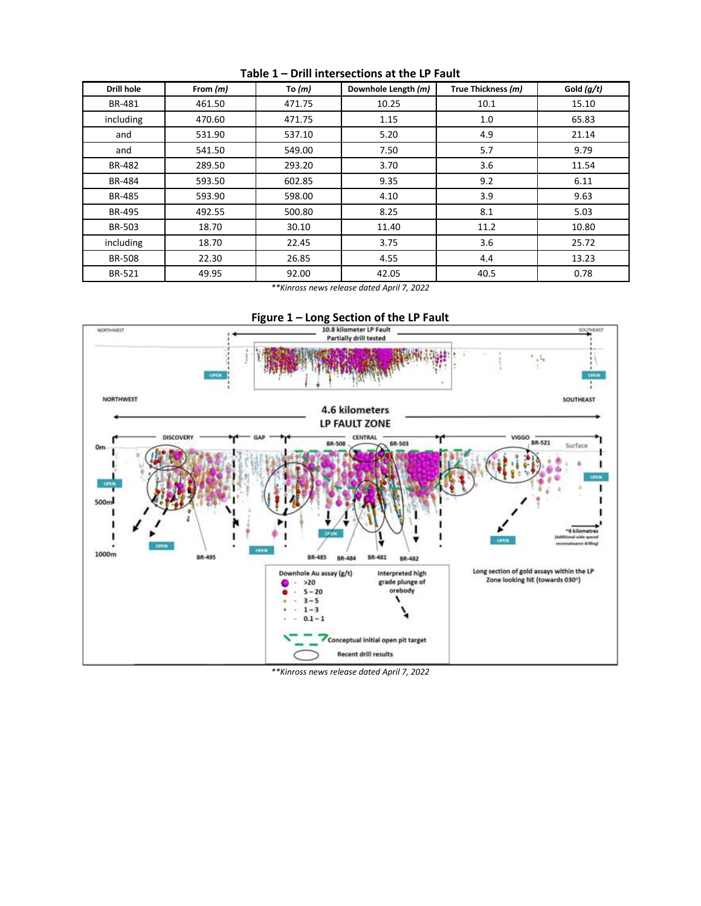| Drill hole    | From $(m)$ | To $(m)$ | Downhole Length (m) | True Thickness (m) | Gold $(q/t)$ |
|---------------|------------|----------|---------------------|--------------------|--------------|
| BR-481        | 461.50     | 471.75   | 10.25               | 10.1               | 15.10        |
| including     | 470.60     | 471.75   | 1.15                | 1.0                | 65.83        |
| and           | 531.90     | 537.10   | 5.20                | 4.9                | 21.14        |
| and           | 541.50     | 549.00   | 7.50                | 5.7                | 9.79         |
| BR-482        | 289.50     | 293.20   | 3.70                | 3.6                | 11.54        |
| BR-484        | 593.50     | 602.85   | 9.35                | 9.2                | 6.11         |
| <b>BR-485</b> | 593.90     | 598.00   | 4.10                | 3.9                | 9.63         |
| <b>BR-495</b> | 492.55     | 500.80   | 8.25                | 8.1                | 5.03         |
| <b>BR-503</b> | 18.70      | 30.10    | 11.40               | 11.2               | 10.80        |
| including     | 18.70      | 22.45    | 3.75                | 3.6                | 25.72        |
| <b>BR-508</b> | 22.30      | 26.85    | 4.55                | 4.4                | 13.23        |
| BR-521        | 49.95      | 92.00    | 42.05               | 40.5               | 0.78         |

**Table 1 – Drill intersections at the LP Fault**

*\*\*Kinross news release dated April 7, 2022*



*\*\*Kinross news release dated April 7, 2022*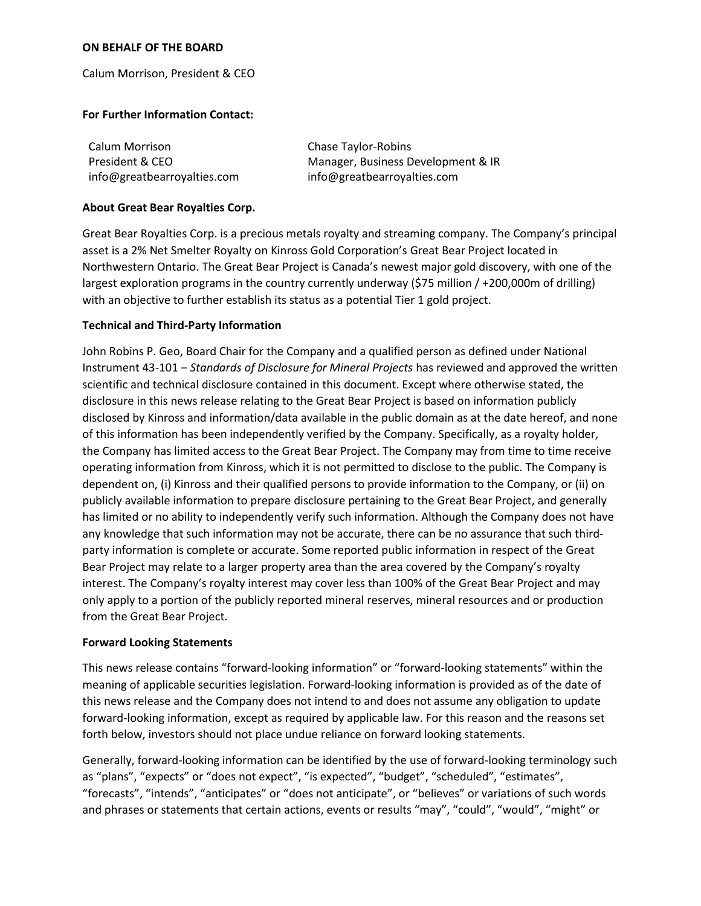#### **ON BEHALF OF THE BOARD**

Calum Morrison, President & CEO

#### **For Further Information Contact:**

| Calum Morrison              | Chase Taylor-Robins                |
|-----------------------------|------------------------------------|
| President & CEO             | Manager, Business Development & IR |
| info@greatbearroyalties.com | info@greatbearroyalties.com        |

#### **About Great Bear Royalties Corp.**

Great Bear Royalties Corp. is a precious metals royalty and streaming company. The Company's principal asset is a 2% Net Smelter Royalty on Kinross Gold Corporation's Great Bear Project located in Northwestern Ontario. The Great Bear Project is Canada's newest major gold discovery, with one of the largest exploration programs in the country currently underway (\$75 million / +200,000m of drilling) with an objective to further establish its status as a potential Tier 1 gold project.

## **Technical and Third-Party Information**

John Robins P. Geo, Board Chair for the Company and a qualified person as defined under National Instrument 43-101 – *Standards of Disclosure for Mineral Projects* has reviewed and approved the written scientific and technical disclosure contained in this document. Except where otherwise stated, the disclosure in this news release relating to the Great Bear Project is based on information publicly disclosed by Kinross and information/data available in the public domain as at the date hereof, and none of this information has been independently verified by the Company. Specifically, as a royalty holder, the Company has limited access to the Great Bear Project. The Company may from time to time receive operating information from Kinross, which it is not permitted to disclose to the public. The Company is dependent on, (i) Kinross and their qualified persons to provide information to the Company, or (ii) on publicly available information to prepare disclosure pertaining to the Great Bear Project, and generally has limited or no ability to independently verify such information. Although the Company does not have any knowledge that such information may not be accurate, there can be no assurance that such thirdparty information is complete or accurate. Some reported public information in respect of the Great Bear Project may relate to a larger property area than the area covered by the Company's royalty interest. The Company's royalty interest may cover less than 100% of the Great Bear Project and may only apply to a portion of the publicly reported mineral reserves, mineral resources and or production from the Great Bear Project.

## **Forward Looking Statements**

This news release contains "forward-looking information" or "forward-looking statements" within the meaning of applicable securities legislation. Forward-looking information is provided as of the date of this news release and the Company does not intend to and does not assume any obligation to update forward-looking information, except as required by applicable law. For this reason and the reasons set forth below, investors should not place undue reliance on forward looking statements.

Generally, forward-looking information can be identified by the use of forward-looking terminology such as "plans", "expects" or "does not expect", "is expected", "budget", "scheduled", "estimates", "forecasts", "intends", "anticipates" or "does not anticipate", or "believes" or variations of such words and phrases or statements that certain actions, events or results "may", "could", "would", "might" or